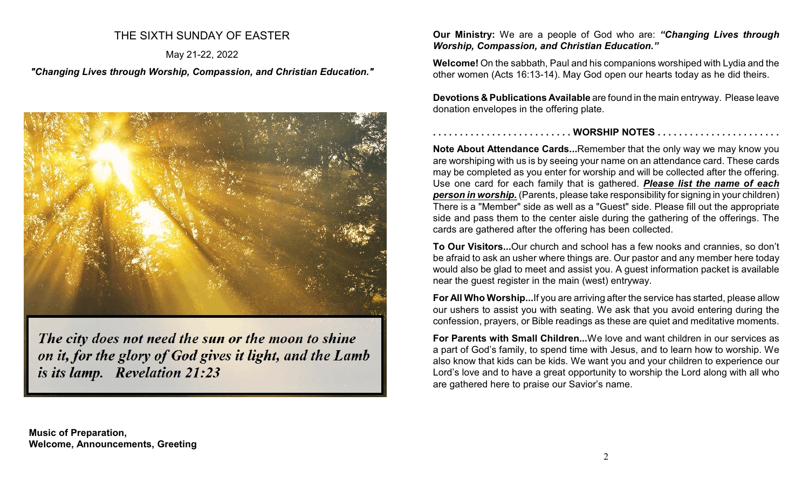# THE SIXTH SUNDAY OF EASTER

May 21-22, 2022

*"Changing Lives through Worship, Compassion, and Christian Education."*



The city does not need the sun or the moon to shine on it, for the glory of God gives it light, and the Lamb is its lamp. Revelation 21:23

**Our Ministry:** We are a people of God who are: *"Changing Lives through Worship, Compassion, and Christian Education."*

**Welcome!** On the sabbath, Paul and his companions worshiped with Lydia and the other women (Acts 16:13-14). May God open our hearts today as he did theirs.

**Devotions & Publications Available** are found in the main entryway. Please leave donation envelopes in the offering plate.

#### **. . . . . . . . . . . . . . . . . . . . . . . . . . WORSHIP NOTES . . . . . . . . . . . . . . . . . . . . . . .**

**Note About Attendance Cards...**Remember that the only way we may know you are worshiping with us is by seeing your name on an attendance card. These cards may be completed as you enter for worship and will be collected after the offering. Use one card for each family that is gathered. *Please list the name of each person in worship.* (Parents, please take responsibility for signing in your children) There is a "Member" side as well as a "Guest" side. Please fill out the appropriate side and pass them to the center aisle during the gathering of the offerings. The cards are gathered after the offering has been collected.

**To Our Visitors...**Our church and school has a few nooks and crannies, so don't be afraid to ask an usher where things are. Our pastor and any member here today would also be glad to meet and assist you. A guest information packet is available near the guest register in the main (west) entryway.

**For All Who Worship...**If you are arriving after the service has started, please allow our ushers to assist you with seating. We ask that you avoid entering during the confession, prayers, or Bible readings as these are quiet and meditative moments.

**For Parents with Small Children...**We love and want children in our services as a part of God's family, to spend time with Jesus, and to learn how to worship. We also know that kids can be kids. We want you and your children to experience our Lord's love and to have a great opportunity to worship the Lord along with all who are gathered here to praise our Savior's name.

**Music of Preparation, Welcome, Announcements, Greeting**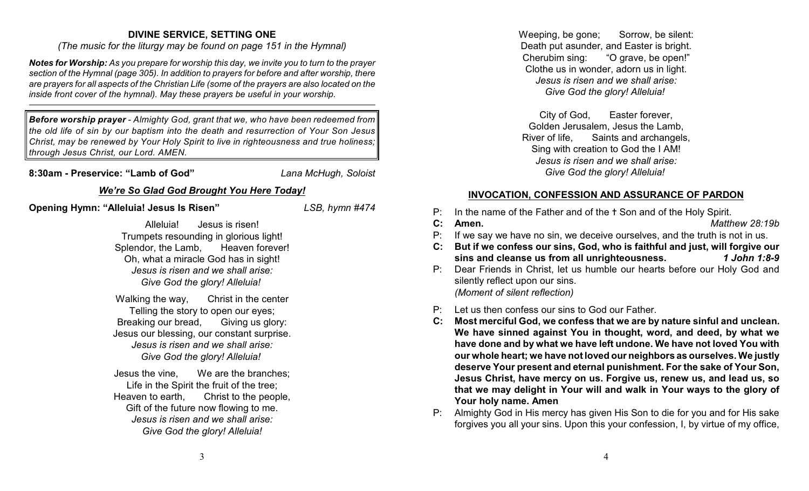#### **DIVINE SERVICE, SETTING ONE**

*(The music for the liturgy may be found on page 151 in the Hymnal)*

*Notes for Worship: As you prepare for worship this day, we invite you to turn to the prayer section of the Hymnal (page 305). In addition to prayers for before and after worship, there are prayers for all aspects of the Christian Life (some of the prayers are also located on the inside front cover of the hymnal). May these prayers be useful in your worship.*

*Before worship prayer - Almighty God, grant that we, who have been redeemed from the old life of sin by our baptism into the death and resurrection of Your Son Jesus Christ, may be renewed by Your Holy Spirit to live in righteousness and true holiness; through Jesus Christ, our Lord. AMEN.* 

**8:30am - Preservice: "Lamb of God"** *Lana McHugh, Soloist*

## *We're So Glad God Brought You Here Today!*

**Opening Hymn: "Alleluia! Jesus Is Risen"** *LSB, hymn #474*

Alleluia! Jesus is risen! Trumpets resounding in glorious light! Splendor, the Lamb, Heaven forever! Oh, what a miracle God has in sight! *Jesus is risen and we shall arise: Give God the glory! Alleluia!* 

Walking the way, Christ in the center Telling the story to open our eyes; Breaking our bread, Giving us glory: Jesus our blessing, our constant surprise. *Jesus is risen and we shall arise: Give God the glory! Alleluia!* 

Jesus the vine, We are the branches; Life in the Spirit the fruit of the tree; Heaven to earth, Christ to the people, Gift of the future now flowing to me. *Jesus is risen and we shall arise: Give God the glory! Alleluia!*

Weeping, be gone; Sorrow, be silent: Death put asunder, and Easter is bright. Cherubim sing: "O grave, be open!" Clothe us in wonder, adorn us in light. *Jesus is risen and we shall arise: Give God the glory! Alleluia!* 

City of God, Easter forever, Golden Jerusalem, Jesus the Lamb, River of life, Saints and archangels, Sing with creation to God the I AM! *Jesus is risen and we shall arise: Give God the glory! Alleluia!* 

#### **INVOCATION, CONFESSION AND ASSURANCE OF PARDON**

- P: In the name of the Father and of the  $+$  Son and of the Holy Spirit.
- **C: Amen.** *Matthew 28:19b*
- P: If we say we have no sin, we deceive ourselves, and the truth is not in us.
- **C: But if we confess our sins, God, who is faithful and just, will forgive our sins and cleanse us from all unrighteousness.** *1 John 1:8-9*
- P: Dear Friends in Christ, let us humble our hearts before our Holy God and silently reflect upon our sins. *(Moment of silent reflection)*
- P: Let us then confess our sins to God our Father.
- **C: Most merciful God, we confess that we are by nature sinful and unclean. We have sinned against You in thought, word, and deed, by what we have done and by what we have left undone. We have not loved You with our whole heart; we have notloved our neighbors as ourselves. We justly deserve Your present and eternal punishment. For the sake of Your Son, Jesus Christ, have mercy on us. Forgive us, renew us, and lead us, so that we may delight in Your will and walk in Your ways to the glory of Your holy name. Amen**
- P: Almighty God in His mercy has given His Son to die for you and for His sake forgives you all your sins. Upon this your confession, I, by virtue of my office,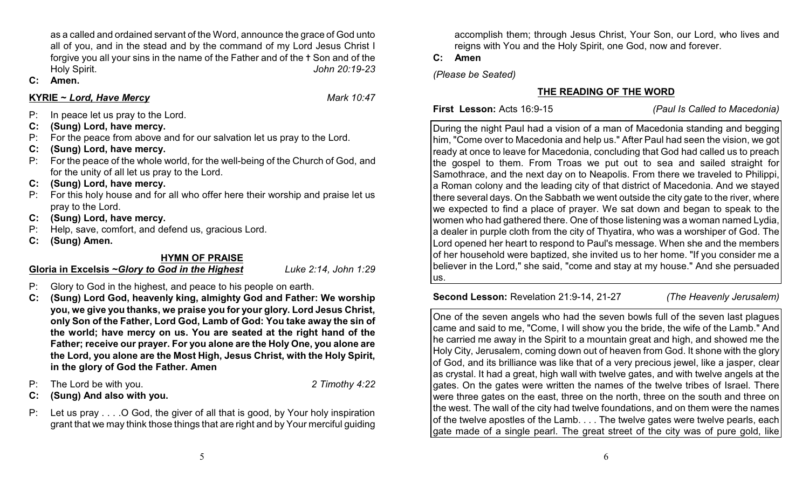as a called and ordained servant of the Word, announce the grace of God unto all of you, and in the stead and by the command of my Lord Jesus Christ I forgive you all your sins in the name of the Father and of the ^ Son and of the Holy Spirit. *John 20:19-23*

**C: Amen.**

#### **KYRIE ~** *Lord, Have Mercy Mark 10:47*

- P: In peace let us pray to the Lord.
- **C: (Sung) Lord, have mercy.**
- P: For the peace from above and for our salvation let us pray to the Lord.
- **C: (Sung) Lord, have mercy.**
- For the peace of the whole world, for the well-being of the Church of God, and for the unity of all let us pray to the Lord.
- **C: (Sung) Lord, have mercy.**
- P: For this holy house and for all who offer here their worship and praise let us pray to the Lord.
- **C: (Sung) Lord, have mercy.**
- P: Help, save, comfort, and defend us, gracious Lord.
- **C: (Sung) Amen.**

## **HYMN OF PRAISE**

**Gloria in Excelsis ~***Glory to God in the Highest Luke 2:14, John 1:29*

- P: Glory to God in the highest, and peace to his people on earth.
- **C: (Sung) Lord God, heavenly king, almighty God and Father: We worship you, we give you thanks, we praise you for your glory. Lord Jesus Christ, only Son of the Father, Lord God, Lamb of God: You take away the sin of the world; have mercy on us. You are seated at the right hand of the Father; receive our prayer. For you alone are the Holy One, you alone are the Lord, you alone are the Most High, Jesus Christ, with the Holy Spirit, in the glory of God the Father. Amen**
- P: The Lord be with you. *2 Timothy 4:22*

- **C: (Sung) And also with you.**
- P: Let us pray . . . . O God, the giver of all that is good, by Your holy inspiration grant that we may think those things that are right and by Your merciful guiding

accomplish them; through Jesus Christ, Your Son, our Lord, who lives and reigns with You and the Holy Spirit, one God, now and forever.

**C: Amen**

*(Please be Seated)*

## **THE READING OF THE WORD**

**First Lesson:** Acts 16:9-15 *(Paul Is Called to Macedonia)*

During the night Paul had a vision of a man of Macedonia standing and begging him, "Come over to Macedonia and help us." After Paul had seen the vision, we got ready at once to leave for Macedonia, concluding that God had called us to preach the gospel to them. From Troas we put out to sea and sailed straight for Samothrace, and the next day on to Neapolis. From there we traveled to Philippi, a Roman colony and the leading city of that district of Macedonia. And we stayed there several days. On the Sabbath we went outside the city gate to the river, where we expected to find a place of prayer. We sat down and began to speak to the women who had gathered there. One of those listening was a woman named Lydia, a dealer in purple cloth from the city of Thyatira, who was a worshiper of God. The Lord opened her heart to respond to Paul's message. When she and the members of her household were baptized, she invited us to her home. "If you consider me a believer in the Lord," she said, "come and stay at my house." And she persuaded us.

**Second Lesson:** Revelation 21:9-14, 21-27 *(The Heavenly Jerusalem)*

One of the seven angels who had the seven bowls full of the seven last plagues came and said to me, "Come, I will show you the bride, the wife of the Lamb." And he carried me away in the Spirit to a mountain great and high, and showed me the Holy City, Jerusalem, coming down out of heaven from God. It shone with the glory of God, and its brilliance was like that of a very precious jewel, like a jasper, clear as crystal. It had a great, high wall with twelve gates, and with twelve angels at the gates. On the gates were written the names of the twelve tribes of Israel. There were three gates on the east, three on the north, three on the south and three on the west. The wall of the city had twelve foundations, and on them were the names of the twelve apostles of the Lamb. . . . The twelve gates were twelve pearls, each gate made of a single pearl. The great street of the city was of pure gold, like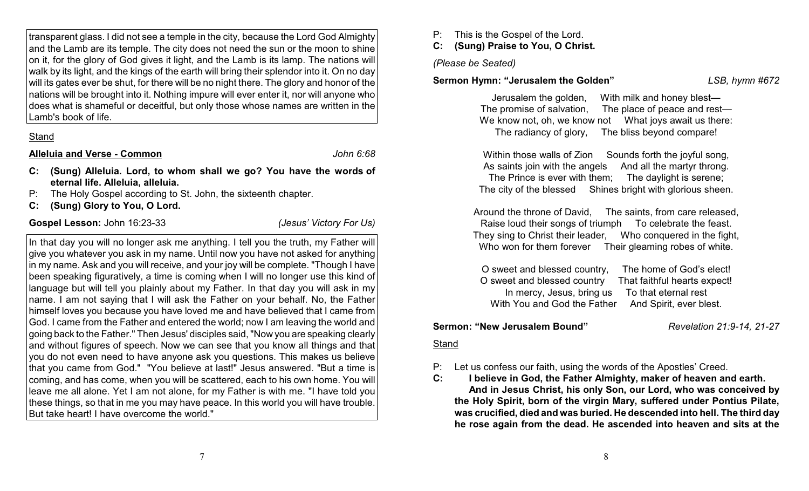transparent glass. I did not see a temple in the city, because the Lord God Almighty and the Lamb are its temple. The city does not need the sun or the moon to shine on it, for the glory of God gives it light, and the Lamb is its lamp. The nations will walk by its light, and the kings of the earth will bring their splendor into it. On no day will its gates ever be shut, for there will be no night there. The glory and honor of the nations will be brought into it. Nothing impure will ever enter it, nor will anyone who does what is shameful or deceitful, but only those whose names are written in the Lamb's book of life.

#### **Stand**

#### **Alleluia and Verse - Common** *John 6:68*

- **C: (Sung) Alleluia. Lord, to whom shall we go? You have the words of eternal life. Alleluia, alleluia.**
- P: The Holy Gospel according to St. John, the sixteenth chapter.
- **C: (Sung) Glory to You, O Lord.**

**Gospel Lesson:** John 16:23-33 *(Jesus' Victory For Us)*

In that day you will no longer ask me anything. I tell you the truth, my Father will give you whatever you ask in my name. Until now you have not asked for anything in my name. Ask and you will receive, and your joy will be complete. "Though I have been speaking figuratively, a time is coming when I will no longer use this kind of language but will tell you plainly about my Father. In that day you will ask in my name. I am not saying that I will ask the Father on your behalf. No, the Father himself loves you because you have loved me and have believed that I came from God. I came from the Father and entered the world; now I am leaving the world and going back to the Father." Then Jesus' disciples said, "Now you are speaking clearly and without figures of speech. Now we can see that you know all things and that you do not even need to have anyone ask you questions. This makes us believe that you came from God." "You believe at last!" Jesus answered. "But a time is coming, and has come, when you will be scattered, each to his own home. You will leave me all alone. Yet I am not alone, for my Father is with me. "I have told you these things, so that in me you may have peace. In this world you will have trouble. But take heart! I have overcome the world."

P: This is the Gospel of the Lord.

**C: (Sung) Praise to You, O Christ.**

*(Please be Seated)*

#### **Sermon Hymn: "Jerusalem the Golden"** *LSB, hymn #672*

Jerusalem the golden, With milk and honey blest— The promise of salvation, The place of peace and rest— We know not, oh, we know not What joys await us there: The radiancy of glory, The bliss beyond compare!

Within those walls of Zion Sounds forth the joyful song, As saints join with the angels And all the martyr throng. The Prince is ever with them; The daylight is serene; The city of the blessed Shines bright with glorious sheen.

Around the throne of David, The saints, from care released, Raise loud their songs of triumph To celebrate the feast. They sing to Christ their leader, Who conquered in the fight, Who won for them forever Their gleaming robes of white.

O sweet and blessed country, The home of God's elect! O sweet and blessed country That faithful hearts expect! In mercy, Jesus, bring us To that eternal rest With You and God the Father And Spirit, ever blest.

**Sermon: "New Jerusalem Bound"** *Revelation 21:9-14, 21-27*

## **Stand**

P: Let us confess our faith, using the words of the Apostles' Creed.

**C: I believe in God, the Father Almighty, maker of heaven and earth. And in Jesus Christ, his only Son, our Lord, who was conceived by the Holy Spirit, born of the virgin Mary, suffered under Pontius Pilate, was crucified, died and was buried. He descended into hell. The third day he rose again from the dead. He ascended into heaven and sits at the**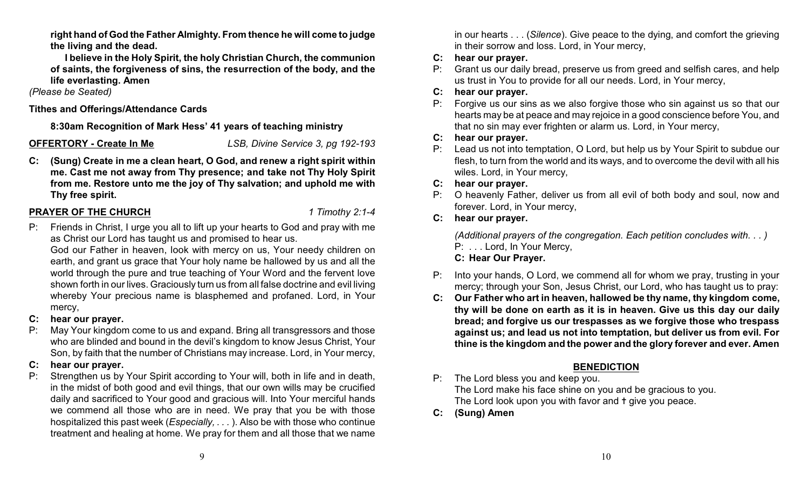**right hand of God the Father Almighty. From thence he will come to judge the living and the dead.**

**I believe in the Holy Spirit, the holy Christian Church, the communion of saints, the forgiveness of sins, the resurrection of the body, and the life everlasting. Amen**

*(Please be Seated)*

**Tithes and Offerings/Attendance Cards**

**8:30am Recognition of Mark Hess' 41 years of teaching ministry**

**OFFERTORY - Create In Me** *LSB, Divine Service 3, pg 192-193*

**C: (Sung) Create in me a clean heart, O God, and renew a right spirit within me. Cast me not away from Thy presence; and take not Thy Holy Spirit from me. Restore unto me the joy of Thy salvation; and uphold me with Thy free spirit.**

## **PRAYER OF THE CHURCH** *1 Timothy 2:1-4*

P: Friends in Christ, I urge you all to lift up your hearts to God and pray with me as Christ our Lord has taught us and promised to hear us.

God our Father in heaven, look with mercy on us, Your needy children on earth, and grant us grace that Your holy name be hallowed by us and all the world through the pure and true teaching of Your Word and the fervent love shown forth in our lives. Graciously turn us from all false doctrine and evil living whereby Your precious name is blasphemed and profaned. Lord, in Your mercy,

- **C: hear our prayer.**
- May Your kingdom come to us and expand. Bring all transgressors and those who are blinded and bound in the devil's kingdom to know Jesus Christ, Your Son, by faith that the number of Christians may increase. Lord, in Your mercy,
- **C: hear our prayer.**
- P: Strengthen us by Your Spirit according to Your will, both in life and in death, in the midst of both good and evil things, that our own wills may be crucified daily and sacrificed to Your good and gracious will. Into Your merciful hands we commend all those who are in need. We pray that you be with those hospitalized this past week (*Especially, . . .* ). Also be with those who continue treatment and healing at home. We pray for them and all those that we name

in our hearts . . . (*Silence*). Give peace to the dying, and comfort the grieving in their sorrow and loss. Lord, in Your mercy,

## **C: hear our prayer.**

P: Grant us our daily bread, preserve us from greed and selfish cares, and help us trust in You to provide for all our needs. Lord, in Your mercy,

## **C: hear our prayer.**

P: Forgive us our sins as we also forgive those who sin against us so that our hearts may be at peace and may rejoice in a good conscience before You, and that no sin may ever frighten or alarm us. Lord, in Your mercy,

## **C: hear our prayer.**

P: Lead us not into temptation, O Lord, but help us by Your Spirit to subdue our flesh, to turn from the world and its ways, and to overcome the devil with all his wiles. Lord, in Your mercy,

## **C: hear our prayer.**

P: O heavenly Father, deliver us from all evil of both body and soul, now and forever. Lord, in Your mercy,

## **C: hear our prayer.**

*(Additional prayers of the congregation. Each petition concludes with. . . )* P: . . . Lord, In Your Mercy, **C: Hear Our Prayer.**

- P: Into your hands, O Lord, we commend all for whom we pray, trusting in your mercy; through your Son, Jesus Christ, our Lord, who has taught us to pray:
- **C: Our Father who art in heaven, hallowed be thy name, thy kingdom come, thy will be done on earth as it is in heaven. Give us this day our daily bread; and forgive us our trespasses as we forgive those who trespass against us; and lead us not into temptation, but deliver us from evil. For thine is the kingdom and the power and the glory forever and ever. Amen**

# **BENEDICTION**

- P: The Lord bless you and keep you. The Lord make his face shine on you and be gracious to you. The Lord look upon you with favor and t give you peace.
- **C: (Sung) Amen**